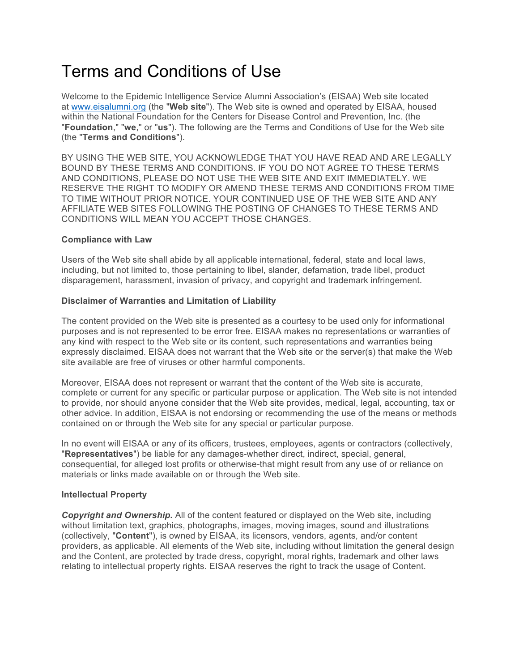# Terms and Conditions of Use

Welcome to the Epidemic Intelligence Service Alumni Association's (EISAA) Web site located at www.eisalumni.org (the "**Web site**"). The Web site is owned and operated by EISAA, housed within the National Foundation for the Centers for Disease Control and Prevention, Inc. (the "**Foundation**," "**we**," or "**us**"). The following are the Terms and Conditions of Use for the Web site (the "**Terms and Conditions**").

BY USING THE WEB SITE, YOU ACKNOWLEDGE THAT YOU HAVE READ AND ARE LEGALLY BOUND BY THESE TERMS AND CONDITIONS. IF YOU DO NOT AGREE TO THESE TERMS AND CONDITIONS, PLEASE DO NOT USE THE WEB SITE AND EXIT IMMEDIATELY. WE RESERVE THE RIGHT TO MODIFY OR AMEND THESE TERMS AND CONDITIONS FROM TIME TO TIME WITHOUT PRIOR NOTICE. YOUR CONTINUED USE OF THE WEB SITE AND ANY AFFILIATE WEB SITES FOLLOWING THE POSTING OF CHANGES TO THESE TERMS AND CONDITIONS WILL MEAN YOU ACCEPT THOSE CHANGES.

# **Compliance with Law**

Users of the Web site shall abide by all applicable international, federal, state and local laws, including, but not limited to, those pertaining to libel, slander, defamation, trade libel, product disparagement, harassment, invasion of privacy, and copyright and trademark infringement.

## **Disclaimer of Warranties and Limitation of Liability**

The content provided on the Web site is presented as a courtesy to be used only for informational purposes and is not represented to be error free. EISAA makes no representations or warranties of any kind with respect to the Web site or its content, such representations and warranties being expressly disclaimed. EISAA does not warrant that the Web site or the server(s) that make the Web site available are free of viruses or other harmful components.

Moreover, EISAA does not represent or warrant that the content of the Web site is accurate, complete or current for any specific or particular purpose or application. The Web site is not intended to provide, nor should anyone consider that the Web site provides, medical, legal, accounting, tax or other advice. In addition, EISAA is not endorsing or recommending the use of the means or methods contained on or through the Web site for any special or particular purpose.

In no event will EISAA or any of its officers, trustees, employees, agents or contractors (collectively, "**Representatives**") be liable for any damages-whether direct, indirect, special, general, consequential, for alleged lost profits or otherwise-that might result from any use of or reliance on materials or links made available on or through the Web site.

# **Intellectual Property**

*Copyright and Ownership.* All of the content featured or displayed on the Web site, including without limitation text, graphics, photographs, images, moving images, sound and illustrations (collectively, "**Content**"), is owned by EISAA, its licensors, vendors, agents, and/or content providers, as applicable. All elements of the Web site, including without limitation the general design and the Content, are protected by trade dress, copyright, moral rights, trademark and other laws relating to intellectual property rights. EISAA reserves the right to track the usage of Content.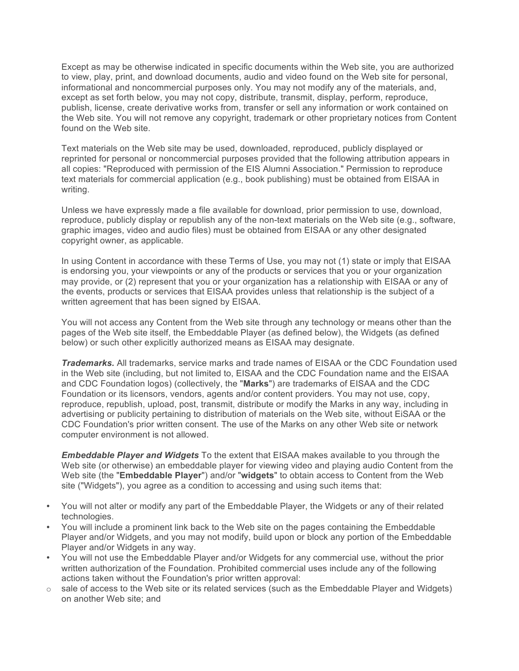Except as may be otherwise indicated in specific documents within the Web site, you are authorized to view, play, print, and download documents, audio and video found on the Web site for personal, informational and noncommercial purposes only. You may not modify any of the materials, and, except as set forth below, you may not copy, distribute, transmit, display, perform, reproduce, publish, license, create derivative works from, transfer or sell any information or work contained on the Web site. You will not remove any copyright, trademark or other proprietary notices from Content found on the Web site.

Text materials on the Web site may be used, downloaded, reproduced, publicly displayed or reprinted for personal or noncommercial purposes provided that the following attribution appears in all copies: "Reproduced with permission of the EIS Alumni Association." Permission to reproduce text materials for commercial application (e.g., book publishing) must be obtained from EISAA in writing.

Unless we have expressly made a file available for download, prior permission to use, download, reproduce, publicly display or republish any of the non-text materials on the Web site (e.g., software, graphic images, video and audio files) must be obtained from EISAA or any other designated copyright owner, as applicable.

In using Content in accordance with these Terms of Use, you may not (1) state or imply that EISAA is endorsing you, your viewpoints or any of the products or services that you or your organization may provide, or (2) represent that you or your organization has a relationship with EISAA or any of the events, products or services that EISAA provides unless that relationship is the subject of a written agreement that has been signed by EISAA.

You will not access any Content from the Web site through any technology or means other than the pages of the Web site itself, the Embeddable Player (as defined below), the Widgets (as defined below) or such other explicitly authorized means as EISAA may designate.

*Trademarks.* All trademarks, service marks and trade names of EISAA or the CDC Foundation used in the Web site (including, but not limited to, EISAA and the CDC Foundation name and the EISAA and CDC Foundation logos) (collectively, the "**Marks**") are trademarks of EISAA and the CDC Foundation or its licensors, vendors, agents and/or content providers. You may not use, copy, reproduce, republish, upload, post, transmit, distribute or modify the Marks in any way, including in advertising or publicity pertaining to distribution of materials on the Web site, without EiSAA or the CDC Foundation's prior written consent. The use of the Marks on any other Web site or network computer environment is not allowed.

*Embeddable Player and Widgets* To the extent that EISAA makes available to you through the Web site (or otherwise) an embeddable player for viewing video and playing audio Content from the Web site (the "**Embeddable Player**") and/or "**widgets**" to obtain access to Content from the Web site ("Widgets"), you agree as a condition to accessing and using such items that:

- You will not alter or modify any part of the Embeddable Player, the Widgets or any of their related technologies.
- You will include a prominent link back to the Web site on the pages containing the Embeddable Player and/or Widgets, and you may not modify, build upon or block any portion of the Embeddable Player and/or Widgets in any way.
- You will not use the Embeddable Player and/or Widgets for any commercial use, without the prior written authorization of the Foundation. Prohibited commercial uses include any of the following actions taken without the Foundation's prior written approval:
- $\circ$  sale of access to the Web site or its related services (such as the Embeddable Player and Widgets) on another Web site; and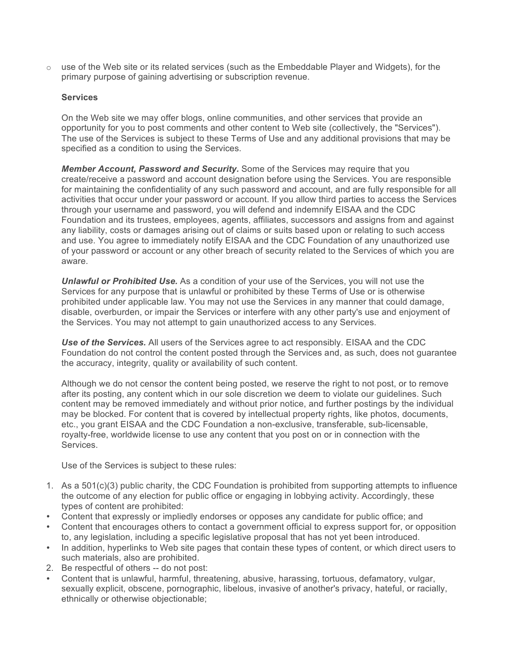$\circ$  use of the Web site or its related services (such as the Embeddable Player and Widgets), for the primary purpose of gaining advertising or subscription revenue.

## **Services**

On the Web site we may offer blogs, online communities, and other services that provide an opportunity for you to post comments and other content to Web site (collectively, the "Services"). The use of the Services is subject to these Terms of Use and any additional provisions that may be specified as a condition to using the Services.

*Member Account, Password and Security.* Some of the Services may require that you create/receive a password and account designation before using the Services. You are responsible for maintaining the confidentiality of any such password and account, and are fully responsible for all activities that occur under your password or account. If you allow third parties to access the Services through your username and password, you will defend and indemnify EISAA and the CDC Foundation and its trustees, employees, agents, affiliates, successors and assigns from and against any liability, costs or damages arising out of claims or suits based upon or relating to such access and use. You agree to immediately notify EISAA and the CDC Foundation of any unauthorized use of your password or account or any other breach of security related to the Services of which you are aware.

*Unlawful or Prohibited Use.* As a condition of your use of the Services, you will not use the Services for any purpose that is unlawful or prohibited by these Terms of Use or is otherwise prohibited under applicable law. You may not use the Services in any manner that could damage, disable, overburden, or impair the Services or interfere with any other party's use and enjoyment of the Services. You may not attempt to gain unauthorized access to any Services.

*Use of the Services.* All users of the Services agree to act responsibly. EISAA and the CDC Foundation do not control the content posted through the Services and, as such, does not guarantee the accuracy, integrity, quality or availability of such content.

Although we do not censor the content being posted, we reserve the right to not post, or to remove after its posting, any content which in our sole discretion we deem to violate our guidelines. Such content may be removed immediately and without prior notice, and further postings by the individual may be blocked. For content that is covered by intellectual property rights, like photos, documents, etc., you grant EISAA and the CDC Foundation a non-exclusive, transferable, sub-licensable, royalty-free, worldwide license to use any content that you post on or in connection with the Services.

Use of the Services is subject to these rules:

- 1. As a 501(c)(3) public charity, the CDC Foundation is prohibited from supporting attempts to influence the outcome of any election for public office or engaging in lobbying activity. Accordingly, these types of content are prohibited:
- Content that expressly or impliedly endorses or opposes any candidate for public office; and
- Content that encourages others to contact a government official to express support for, or opposition to, any legislation, including a specific legislative proposal that has not yet been introduced.
- In addition, hyperlinks to Web site pages that contain these types of content, or which direct users to such materials, also are prohibited.
- 2. Be respectful of others -- do not post:
- Content that is unlawful, harmful, threatening, abusive, harassing, tortuous, defamatory, vulgar, sexually explicit, obscene, pornographic, libelous, invasive of another's privacy, hateful, or racially, ethnically or otherwise objectionable;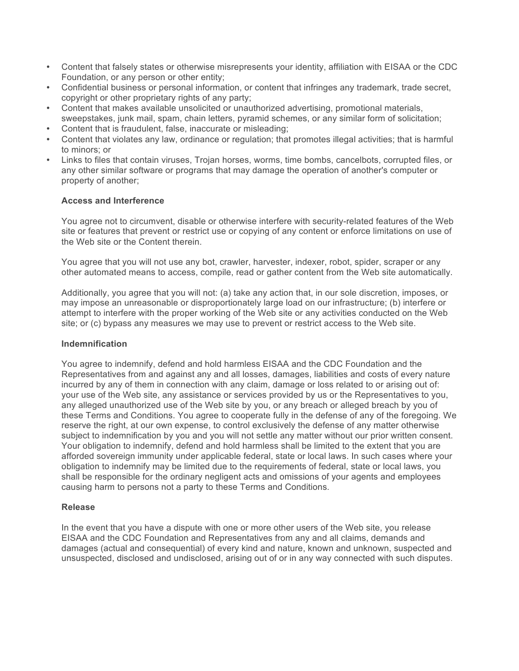- Content that falsely states or otherwise misrepresents your identity, affiliation with EISAA or the CDC Foundation, or any person or other entity;
- Confidential business or personal information, or content that infringes any trademark, trade secret, copyright or other proprietary rights of any party;
- Content that makes available unsolicited or unauthorized advertising, promotional materials, sweepstakes, junk mail, spam, chain letters, pyramid schemes, or any similar form of solicitation;
- Content that is fraudulent, false, inaccurate or misleading;
- Content that violates any law, ordinance or regulation; that promotes illegal activities; that is harmful to minors; or
- Links to files that contain viruses, Trojan horses, worms, time bombs, cancelbots, corrupted files, or any other similar software or programs that may damage the operation of another's computer or property of another;

## **Access and Interference**

You agree not to circumvent, disable or otherwise interfere with security-related features of the Web site or features that prevent or restrict use or copying of any content or enforce limitations on use of the Web site or the Content therein.

You agree that you will not use any bot, crawler, harvester, indexer, robot, spider, scraper or any other automated means to access, compile, read or gather content from the Web site automatically.

Additionally, you agree that you will not: (a) take any action that, in our sole discretion, imposes, or may impose an unreasonable or disproportionately large load on our infrastructure; (b) interfere or attempt to interfere with the proper working of the Web site or any activities conducted on the Web site; or (c) bypass any measures we may use to prevent or restrict access to the Web site.

#### **Indemnification**

You agree to indemnify, defend and hold harmless EISAA and the CDC Foundation and the Representatives from and against any and all losses, damages, liabilities and costs of every nature incurred by any of them in connection with any claim, damage or loss related to or arising out of: your use of the Web site, any assistance or services provided by us or the Representatives to you, any alleged unauthorized use of the Web site by you, or any breach or alleged breach by you of these Terms and Conditions. You agree to cooperate fully in the defense of any of the foregoing. We reserve the right, at our own expense, to control exclusively the defense of any matter otherwise subject to indemnification by you and you will not settle any matter without our prior written consent. Your obligation to indemnify, defend and hold harmless shall be limited to the extent that you are afforded sovereign immunity under applicable federal, state or local laws. In such cases where your obligation to indemnify may be limited due to the requirements of federal, state or local laws, you shall be responsible for the ordinary negligent acts and omissions of your agents and employees causing harm to persons not a party to these Terms and Conditions.

#### **Release**

In the event that you have a dispute with one or more other users of the Web site, you release EISAA and the CDC Foundation and Representatives from any and all claims, demands and damages (actual and consequential) of every kind and nature, known and unknown, suspected and unsuspected, disclosed and undisclosed, arising out of or in any way connected with such disputes.